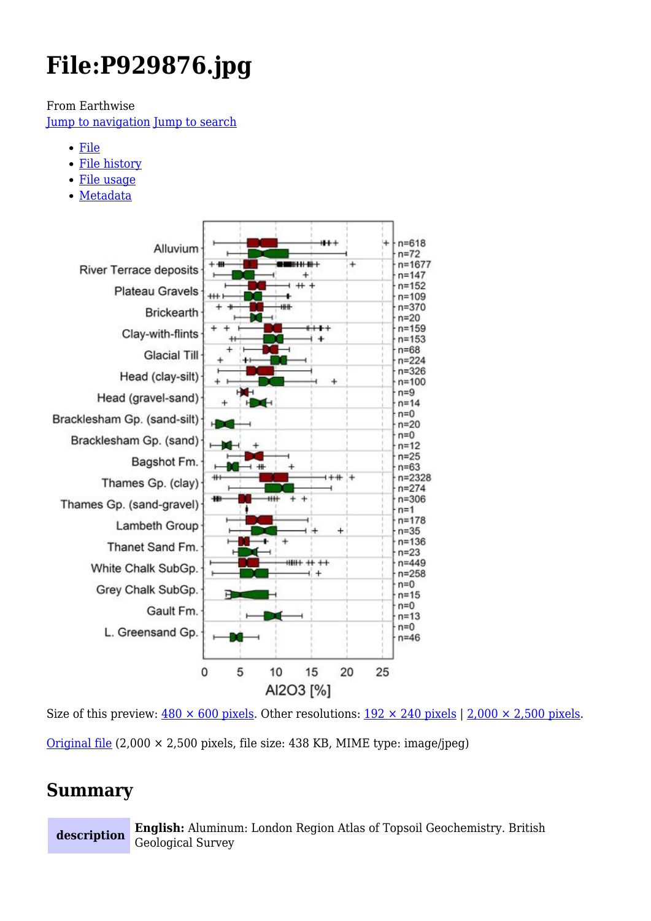# **File:P929876.jpg**

From Earthwise

[Jump to navigation](#page--1-0) [Jump to search](#page--1-0)

- [File](#page--1-0)
- [File history](#page--1-0)
- [File usage](#page--1-0)
- [Metadata](#page--1-0)



Size of this preview:  $480 \times 600$  pixels. Other resolutions:  $192 \times 240$  pixels | 2,000  $\times$  2,500 pixels. [Original file](http://earthwise.bgs.ac.uk/images/0/09/P929876.jpg)  $(2,000 \times 2,500$  pixels, file size: 438 KB, MIME type: image/jpeg)

## **Summary**

**description English:** Aluminum: London Region Atlas of Topsoil Geochemistry. British Geological Survey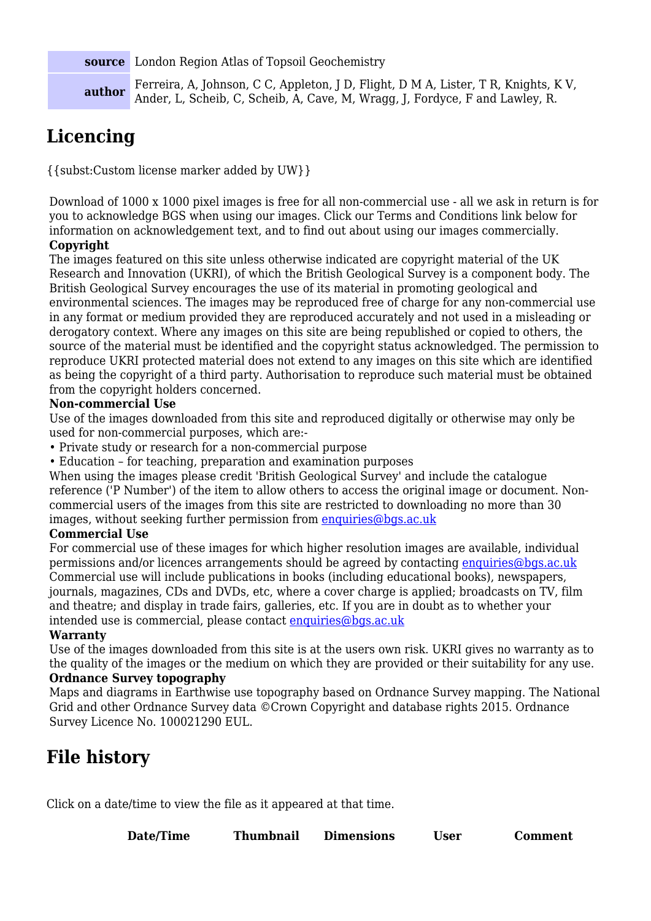**source** London Region Atlas of Topsoil Geochemistry

**author** Ferreira, A, Johnson, C C, Appleton, J D, Flight, D M A, Lister, T R, Knights, K V, Ander, L, Scheib, C, Scheib, A, Cave, M, Wragg, J, Fordyce, F and Lawley, R.

# **Licencing**

{{subst:Custom license marker added by UW}}

Download of 1000 x 1000 pixel images is free for all non-commercial use - all we ask in return is for you to acknowledge BGS when using our images. Click our Terms and Conditions link below for information on acknowledgement text, and to find out about using our images commercially.

#### **Copyright**

The images featured on this site unless otherwise indicated are copyright material of the UK Research and Innovation (UKRI), of which the British Geological Survey is a component body. The British Geological Survey encourages the use of its material in promoting geological and environmental sciences. The images may be reproduced free of charge for any non-commercial use in any format or medium provided they are reproduced accurately and not used in a misleading or derogatory context. Where any images on this site are being republished or copied to others, the source of the material must be identified and the copyright status acknowledged. The permission to reproduce UKRI protected material does not extend to any images on this site which are identified as being the copyright of a third party. Authorisation to reproduce such material must be obtained from the copyright holders concerned.

#### **Non-commercial Use**

Use of the images downloaded from this site and reproduced digitally or otherwise may only be used for non-commercial purposes, which are:-

- Private study or research for a non-commercial purpose
- Education for teaching, preparation and examination purposes

When using the images please credit 'British Geological Survey' and include the catalogue reference ('P Number') of the item to allow others to access the original image or document. Noncommercial users of the images from this site are restricted to downloading no more than 30 images, without seeking further permission from [enquiries@bgs.ac.uk](mailto:enquiries@bgs.ac.uk)

#### **Commercial Use**

For commercial use of these images for which higher resolution images are available, individual permissions and/or licences arrangements should be agreed by contacting [enquiries@bgs.ac.uk](mailto:enquiries@bgs.ac.uk) Commercial use will include publications in books (including educational books), newspapers, journals, magazines, CDs and DVDs, etc, where a cover charge is applied; broadcasts on TV, film and theatre; and display in trade fairs, galleries, etc. If you are in doubt as to whether your intended use is commercial, please contact [enquiries@bgs.ac.uk](mailto:enquiries@bgs.ac.uk)

#### **Warranty**

Use of the images downloaded from this site is at the users own risk. UKRI gives no warranty as to the quality of the images or the medium on which they are provided or their suitability for any use.

#### **Ordnance Survey topography**

Maps and diagrams in Earthwise use topography based on Ordnance Survey mapping. The National Grid and other Ordnance Survey data ©Crown Copyright and database rights 2015. Ordnance Survey Licence No. 100021290 EUL.

## **File history**

Click on a date/time to view the file as it appeared at that time.

| Date/Time | <b>Thumbnail</b> | <b>Dimensions</b> | User | <b>Comment</b> |
|-----------|------------------|-------------------|------|----------------|
|           |                  |                   |      |                |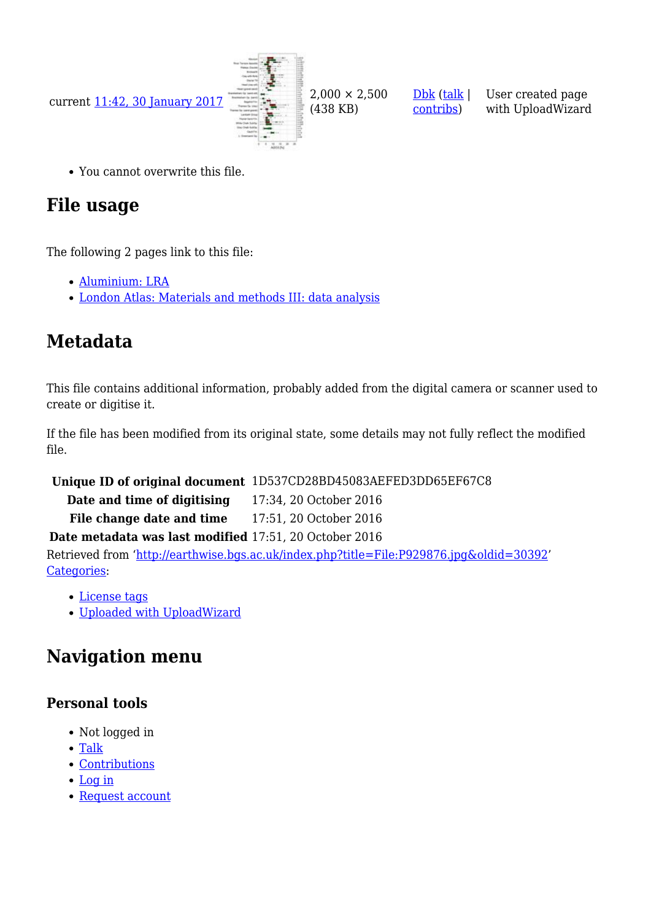

(438 KB)

[Dbk](http://earthwise.bgs.ac.uk/index.php/User:Dbk) [\(talk](http://earthwise.bgs.ac.uk/index.php/User_talk:Dbk) | [contribs\)](http://earthwise.bgs.ac.uk/index.php/Special:Contributions/Dbk)

User created page with UploadWizard

You cannot overwrite this file.

# **File usage**

The following 2 pages link to this file:

- [Aluminium: LRA](http://earthwise.bgs.ac.uk/index.php/Aluminium:_LRA)
- [London Atlas: Materials and methods III: data analysis](http://earthwise.bgs.ac.uk/index.php/London_Atlas:_Materials_and_methods_III:_data_analysis)

# **Metadata**

This file contains additional information, probably added from the digital camera or scanner used to create or digitise it.

If the file has been modified from its original state, some details may not fully reflect the modified file.

**Unique ID of original document** 1D537CD28BD45083AEFED3DD65EF67C8

**Date and time of digitising** 17:34, 20 October 2016 **File change date and time** 17:51, 20 October 2016

#### **Date metadata was last modified** 17:51, 20 October 2016

Retrieved from ['http://earthwise.bgs.ac.uk/index.php?title=File:P929876.jpg&oldid=30392](http://earthwise.bgs.ac.uk/index.php?title=File:P929876.jpg&oldid=30392)' [Categories:](http://earthwise.bgs.ac.uk/index.php/Special:Categories)

- [License tags](http://earthwise.bgs.ac.uk/index.php/Category:License_tags)
- [Uploaded with UploadWizard](http://earthwise.bgs.ac.uk/index.php/Category:Uploaded_with_UploadWizard)

# **Navigation menu**

### **Personal tools**

- Not logged in
- [Talk](http://earthwise.bgs.ac.uk/index.php/Special:MyTalk)
- [Contributions](http://earthwise.bgs.ac.uk/index.php/Special:MyContributions)
- [Log in](http://earthwise.bgs.ac.uk/index.php?title=Special:UserLogin&returnto=File%3AP929876.jpg&returntoquery=action%3Dmpdf)
- [Request account](http://earthwise.bgs.ac.uk/index.php/Special:RequestAccount)